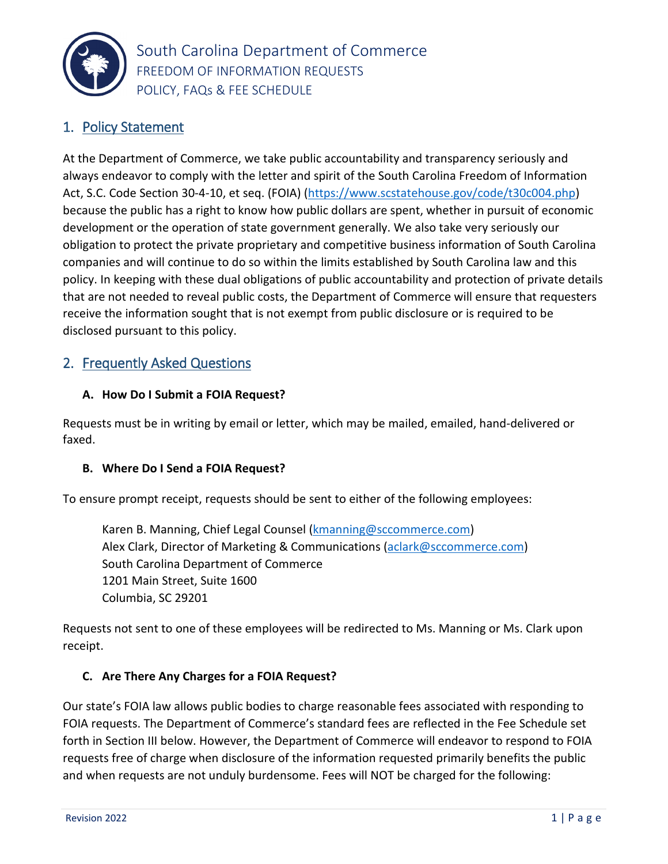

## 1. Policy Statement

At the Department of Commerce, we take public accountability and transparency seriously and always endeavor to comply with the letter and spirit of the South Carolina Freedom of Information Act, S.C. Code Section 30-4-10, et seq. (FOIA) [\(https://www.scstatehouse.gov/code/t30c004.php\)](https://www.scstatehouse.gov/code/t30c004.php) because the public has a right to know how public dollars are spent, whether in pursuit of economic development or the operation of state government generally. We also take very seriously our obligation to protect the private proprietary and competitive business information of South Carolina companies and will continue to do so within the limits established by South Carolina law and this policy. In keeping with these dual obligations of public accountability and protection of private details that are not needed to reveal public costs, the Department of Commerce will ensure that requesters receive the information sought that is not exempt from public disclosure or is required to be disclosed pursuant to this policy.

## 2. Frequently Asked Questions

#### **A. How Do I Submit a FOIA Request?**

Requests must be in writing by email or letter, which may be mailed, emailed, hand-delivered or faxed.

#### **B. Where Do I Send a FOIA Request?**

To ensure prompt receipt, requests should be sent to either of the following employees:

Karen B. Manning, Chief Legal Counsel [\(kmanning@sccommerce.com\)](mailto:kmanning@sccommerce.com) Alex Clark, Director of Marketing & Communications [\(aclark@sccommerce.com\)](mailto:aclark@sccommerce.com) South Carolina Department of Commerce 1201 Main Street, Suite 1600 Columbia, SC 29201

Requests not sent to one of these employees will be redirected to Ms. Manning or Ms. Clark upon receipt.

#### **C. Are There Any Charges for a FOIA Request?**

Our state's FOIA law allows public bodies to charge reasonable fees associated with responding to FOIA requests. The Department of Commerce's standard fees are reflected in the Fee Schedule set forth in Section III below. However, the Department of Commerce will endeavor to respond to FOIA requests free of charge when disclosure of the information requested primarily benefits the public and when requests are not unduly burdensome. Fees will NOT be charged for the following: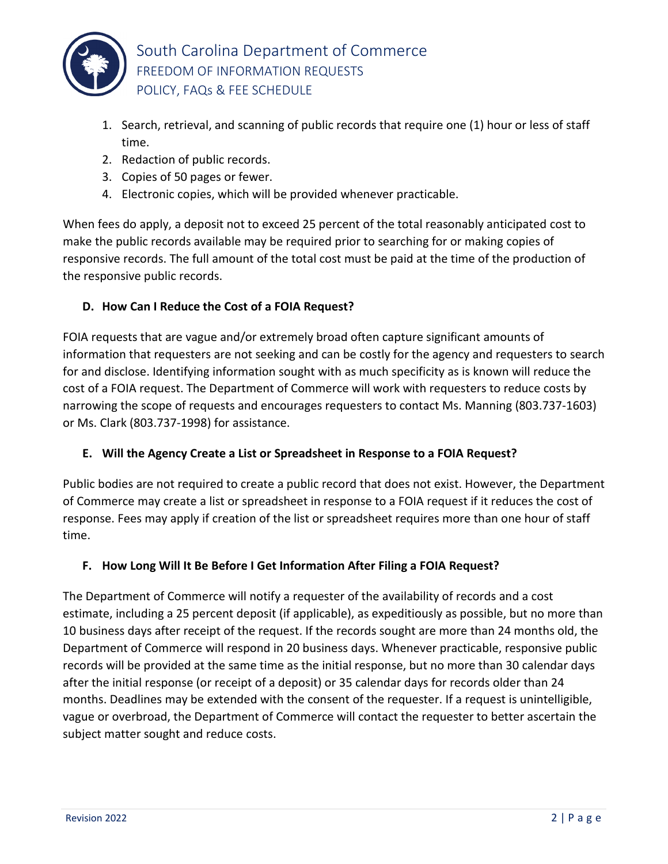

- 1. Search, retrieval, and scanning of public records that require one (1) hour or less of staff time.
- 2. Redaction of public records.
- 3. Copies of 50 pages or fewer.
- 4. Electronic copies, which will be provided whenever practicable.

When fees do apply, a deposit not to exceed 25 percent of the total reasonably anticipated cost to make the public records available may be required prior to searching for or making copies of responsive records. The full amount of the total cost must be paid at the time of the production of the responsive public records.

## **D. How Can I Reduce the Cost of a FOIA Request?**

FOIA requests that are vague and/or extremely broad often capture significant amounts of information that requesters are not seeking and can be costly for the agency and requesters to search for and disclose. Identifying information sought with as much specificity as is known will reduce the cost of a FOIA request. The Department of Commerce will work with requesters to reduce costs by narrowing the scope of requests and encourages requesters to contact Ms. Manning (803.737-1603) or Ms. Clark (803.737-1998) for assistance.

## **E. Will the Agency Create a List or Spreadsheet in Response to a FOIA Request?**

Public bodies are not required to create a public record that does not exist. However, the Department of Commerce may create a list or spreadsheet in response to a FOIA request if it reduces the cost of response. Fees may apply if creation of the list or spreadsheet requires more than one hour of staff time.

## **F. How Long Will It Be Before I Get Information After Filing a FOIA Request?**

The Department of Commerce will notify a requester of the availability of records and a cost estimate, including a 25 percent deposit (if applicable), as expeditiously as possible, but no more than 10 business days after receipt of the request. If the records sought are more than 24 months old, the Department of Commerce will respond in 20 business days. Whenever practicable, responsive public records will be provided at the same time as the initial response, but no more than 30 calendar days after the initial response (or receipt of a deposit) or 35 calendar days for records older than 24 months. Deadlines may be extended with the consent of the requester. If a request is unintelligible, vague or overbroad, the Department of Commerce will contact the requester to better ascertain the subject matter sought and reduce costs.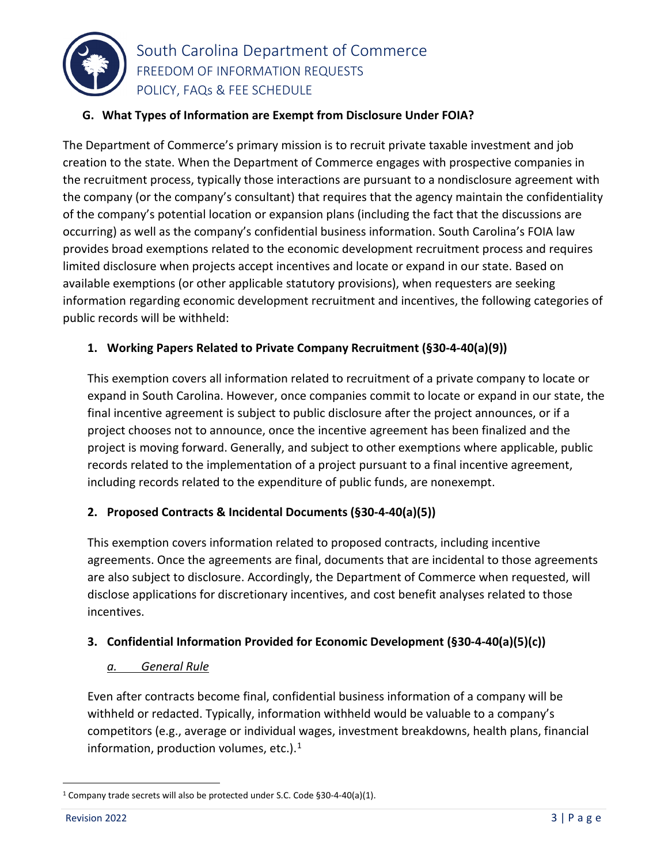

# South Carolina Department of Commerce FREEDOM OF INFORMATION REQUESTS POLICY, FAQs & FEE SCHEDULE

#### **G. What Types of Information are Exempt from Disclosure Under FOIA?**

The Department of Commerce's primary mission is to recruit private taxable investment and job creation to the state. When the Department of Commerce engages with prospective companies in the recruitment process, typically those interactions are pursuant to a nondisclosure agreement with the company (or the company's consultant) that requires that the agency maintain the confidentiality of the company's potential location or expansion plans (including the fact that the discussions are occurring) as well as the company's confidential business information. South Carolina's FOIA law provides broad exemptions related to the economic development recruitment process and requires limited disclosure when projects accept incentives and locate or expand in our state. Based on available exemptions (or other applicable statutory provisions), when requesters are seeking information regarding economic development recruitment and incentives, the following categories of public records will be withheld:

### **1. Working Papers Related to Private Company Recruitment (§30-4-40(a)(9))**

This exemption covers all information related to recruitment of a private company to locate or expand in South Carolina. However, once companies commit to locate or expand in our state, the final incentive agreement is subject to public disclosure after the project announces, or if a project chooses not to announce, once the incentive agreement has been finalized and the project is moving forward. Generally, and subject to other exemptions where applicable, public records related to the implementation of a project pursuant to a final incentive agreement, including records related to the expenditure of public funds, are nonexempt.

#### **2. Proposed Contracts & Incidental Documents (§30-4-40(a)(5))**

This exemption covers information related to proposed contracts, including incentive agreements. Once the agreements are final, documents that are incidental to those agreements are also subject to disclosure. Accordingly, the Department of Commerce when requested, will disclose applications for discretionary incentives, and cost benefit analyses related to those incentives.

#### **3. Confidential Information Provided for Economic Development (§30-4-40(a)(5)(c))**

#### *a. General Rule*

Even after contracts become final, confidential business information of a company will be withheld or redacted. Typically, information withheld would be valuable to a company's competitors (e.g., average or individual wages, investment breakdowns, health plans, financial information, production volumes, etc.). $<sup>1</sup>$  $<sup>1</sup>$  $<sup>1</sup>$ </sup>

<span id="page-2-0"></span> <sup>1</sup> Company trade secrets will also be protected under S.C. Code §30-4-40(a)(1).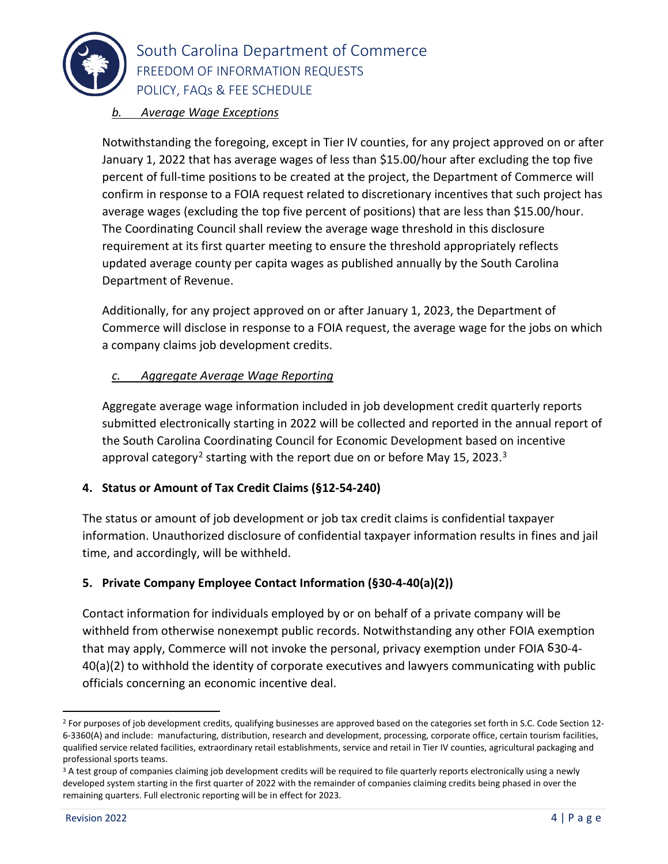

## South Carolina Department of Commerce FREEDOM OF INFORMATION REQUESTS POLICY, FAQs & FEE SCHEDULE

## *b. Average Wage Exceptions*

Notwithstanding the foregoing, except in Tier IV counties, for any project approved on or after January 1, 2022 that has average wages of less than \$15.00/hour after excluding the top five percent of full-time positions to be created at the project, the Department of Commerce will confirm in response to a FOIA request related to discretionary incentives that such project has average wages (excluding the top five percent of positions) that are less than \$15.00/hour. The Coordinating Council shall review the average wage threshold in this disclosure requirement at its first quarter meeting to ensure the threshold appropriately reflects updated average county per capita wages as published annually by the South Carolina Department of Revenue.

Additionally, for any project approved on or after January 1, 2023, the Department of Commerce will disclose in response to a FOIA request, the average wage for the jobs on which a company claims job development credits.

### *c. Aggregate Average Wage Reporting*

Aggregate average wage information included in job development credit quarterly reports submitted electronically starting in 2022 will be collected and reported in the annual report of the South Carolina Coordinating Council for Economic Development based on incentive approval category<sup>[2](#page-3-0)</sup> starting with the report due on or before May 15, 202[3](#page-3-1).<sup>3</sup>

#### **4. Status or Amount of Tax Credit Claims (§12-54-240)**

The status or amount of job development or job tax credit claims is confidential taxpayer information. Unauthorized disclosure of confidential taxpayer information results in fines and jail time, and accordingly, will be withheld.

#### **5. Private Company Employee Contact Information (§30-4-40(a)(2))**

Contact information for individuals employed by or on behalf of a private company will be withheld from otherwise nonexempt public records. Notwithstanding any other FOIA exemption that may apply, Commerce will not invoke the personal, privacy exemption under FOIA  $\delta$ 30-4-40(a)(2) to withhold the identity of corporate executives and lawyers communicating with public officials concerning an economic incentive deal.

<span id="page-3-0"></span><sup>&</sup>lt;sup>2</sup> For purposes of job development credits, qualifying businesses are approved based on the categories set forth in S.C. Code Section 12-6-3360(A) and include: manufacturing, distribution, research and development, processing, corporate office, certain tourism facilities, qualified service related facilities, extraordinary retail establishments, service and retail in Tier IV counties, agricultural packaging and professional sports teams.

<span id="page-3-1"></span><sup>&</sup>lt;sup>3</sup> A test group of companies claiming job development credits will be required to file quarterly reports electronically using a newly developed system starting in the first quarter of 2022 with the remainder of companies claiming credits being phased in over the remaining quarters. Full electronic reporting will be in effect for 2023.